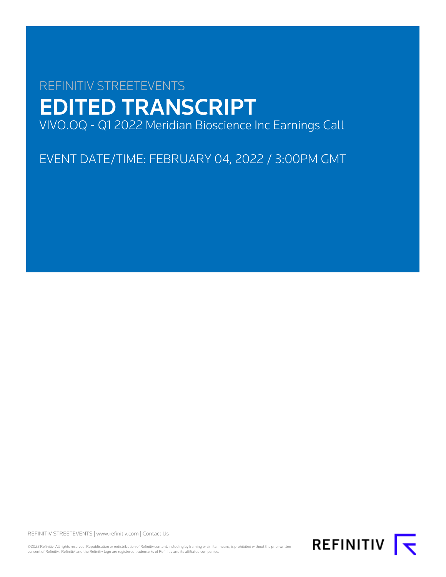# REFINITIV STREETEVENTS EDITED TRANSCRIPT VIVO.OQ - Q1 2022 Meridian Bioscience Inc Earnings Call

EVENT DATE/TIME: FEBRUARY 04, 2022 / 3:00PM GMT

REFINITIV STREETEVENTS | [www.refinitiv.com](https://www.refinitiv.com/) | [Contact Us](https://www.refinitiv.com/en/contact-us)

©2022 Refinitiv. All rights reserved. Republication or redistribution of Refinitiv content, including by framing or similar means, is prohibited without the prior written<br>consent of Refinitiv. 'Refinitiv' and the Refinitiv

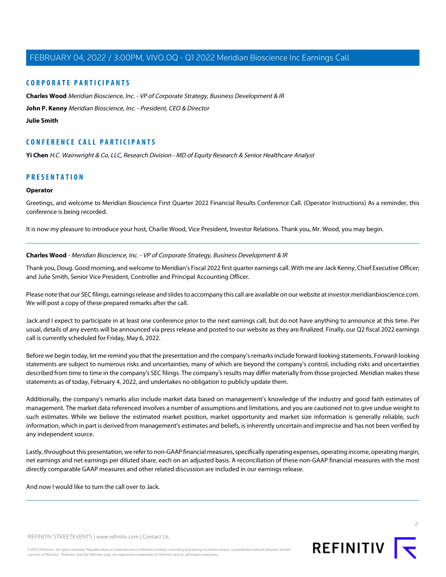## **CORPORATE PARTICIPANTS**

**[Charles Wood](#page-1-0)** Meridian Bioscience, Inc. - VP of Corporate Strategy, Business Development & IR

**[John P. Kenny](#page-2-0)** Meridian Bioscience, Inc. - President, CEO & Director

#### **[Julie Smith](#page-4-0)**

## **CONFERENCE CALL PARTICIPANTS**

**[Yi Chen](#page-9-0)** H.C. Wainwright & Co, LLC, Research Division - MD of Equity Research & Senior Healthcare Analyst

## **PRESENTATION**

#### **Operator**

Greetings, and welcome to Meridian Bioscience First Quarter 2022 Financial Results Conference Call. (Operator Instructions) As a reminder, this conference is being recorded.

<span id="page-1-0"></span>It is now my pleasure to introduce your host, Charlie Wood, Vice President, Investor Relations. Thank you, Mr. Wood, you may begin.

#### **Charles Wood** - Meridian Bioscience, Inc. - VP of Corporate Strategy, Business Development & IR

Thank you, Doug. Good morning, and welcome to Meridian's Fiscal 2022 first quarter earnings call. With me are Jack Kenny, Chief Executive Officer; and Julie Smith, Senior Vice President, Controller and Principal Accounting Officer.

Please note that our SEC filings, earnings release and slides to accompany this call are available on our website at investor.meridianbioscience.com. We will post a copy of these prepared remarks after the call.

Jack and I expect to participate in at least one conference prior to the next earnings call, but do not have anything to announce at this time. Per usual, details of any events will be announced via press release and posted to our website as they are finalized. Finally, our Q2 fiscal 2022 earnings call is currently scheduled for Friday, May 6, 2022.

Before we begin today, let me remind you that the presentation and the company's remarks include forward-looking statements. Forward-looking statements are subject to numerous risks and uncertainties, many of which are beyond the company's control, including risks and uncertainties described from time to time in the company's SEC filings. The company's results may differ materially from those projected. Meridian makes these statements as of today, February 4, 2022, and undertakes no obligation to publicly update them.

Additionally, the company's remarks also include market data based on management's knowledge of the industry and good faith estimates of management. The market data referenced involves a number of assumptions and limitations, and you are cautioned not to give undue weight to such estimates. While we believe the estimated market position, market opportunity and market size information is generally reliable, such information, which in part is derived from management's estimates and beliefs, is inherently uncertain and imprecise and has not been verified by any independent source.

Lastly, throughout this presentation, we refer to non-GAAP financial measures, specifically operating expenses, operating income, operating margin, net earnings and net earnings per diluted share, each on an adjusted basis. A reconciliation of these non-GAAP financial measures with the most directly comparable GAAP measures and other related discussion are included in our earnings release.

And now I would like to turn the call over to Jack.

REFINITIV **I** 

REFINITIV STREETEVENTS | [www.refinitiv.com](https://www.refinitiv.com/) | [Contact Us](https://www.refinitiv.com/en/contact-us)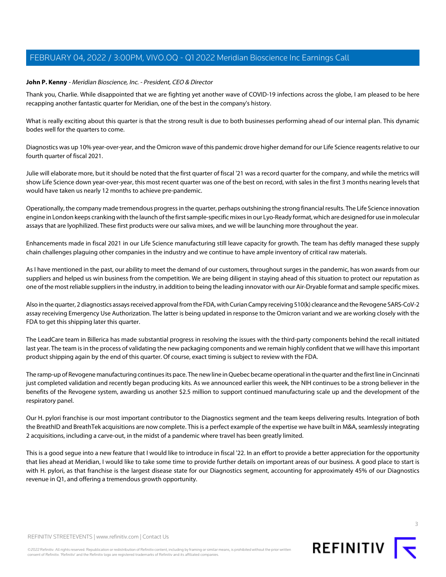#### <span id="page-2-0"></span>**John P. Kenny** - Meridian Bioscience, Inc. - President, CEO & Director

Thank you, Charlie. While disappointed that we are fighting yet another wave of COVID-19 infections across the globe, I am pleased to be here recapping another fantastic quarter for Meridian, one of the best in the company's history.

What is really exciting about this quarter is that the strong result is due to both businesses performing ahead of our internal plan. This dynamic bodes well for the quarters to come.

Diagnostics was up 10% year-over-year, and the Omicron wave of this pandemic drove higher demand for our Life Science reagents relative to our fourth quarter of fiscal 2021.

Julie will elaborate more, but it should be noted that the first quarter of fiscal '21 was a record quarter for the company, and while the metrics will show Life Science down year-over-year, this most recent quarter was one of the best on record, with sales in the first 3 months nearing levels that would have taken us nearly 12 months to achieve pre-pandemic.

Operationally, the company made tremendous progress in the quarter, perhaps outshining the strong financial results. The Life Science innovation engine in London keeps cranking with the launch of the first sample-specific mixes in our Lyo-Ready format, which are designed for use in molecular assays that are lyophilized. These first products were our saliva mixes, and we will be launching more throughout the year.

Enhancements made in fiscal 2021 in our Life Science manufacturing still leave capacity for growth. The team has deftly managed these supply chain challenges plaguing other companies in the industry and we continue to have ample inventory of critical raw materials.

As I have mentioned in the past, our ability to meet the demand of our customers, throughout surges in the pandemic, has won awards from our suppliers and helped us win business from the competition. We are being diligent in staying ahead of this situation to protect our reputation as one of the most reliable suppliers in the industry, in addition to being the leading innovator with our Air-Dryable format and sample specific mixes.

Also in the quarter, 2 diagnostics assays received approval from the FDA, with Curian Campy receiving 510(k) clearance and the Revogene SARS-CoV-2 assay receiving Emergency Use Authorization. The latter is being updated in response to the Omicron variant and we are working closely with the FDA to get this shipping later this quarter.

The LeadCare team in Billerica has made substantial progress in resolving the issues with the third-party components behind the recall initiated last year. The team is in the process of validating the new packaging components and we remain highly confident that we will have this important product shipping again by the end of this quarter. Of course, exact timing is subject to review with the FDA.

The ramp-up of Revogene manufacturing continues its pace. The new line in Quebec became operational in the quarter and the first line in Cincinnati just completed validation and recently began producing kits. As we announced earlier this week, the NIH continues to be a strong believer in the benefits of the Revogene system, awarding us another \$2.5 million to support continued manufacturing scale up and the development of the respiratory panel.

Our H. pylori franchise is our most important contributor to the Diagnostics segment and the team keeps delivering results. Integration of both the BreathID and BreathTek acquisitions are now complete. This is a perfect example of the expertise we have built in M&A, seamlessly integrating 2 acquisitions, including a carve-out, in the midst of a pandemic where travel has been greatly limited.

This is a good segue into a new feature that I would like to introduce in fiscal '22. In an effort to provide a better appreciation for the opportunity that lies ahead at Meridian, I would like to take some time to provide further details on important areas of our business. A good place to start is with H. pylori, as that franchise is the largest disease state for our Diagnostics segment, accounting for approximately 45% of our Diagnostics revenue in Q1, and offering a tremendous growth opportunity.



REFINITIV STREETEVENTS | [www.refinitiv.com](https://www.refinitiv.com/) | [Contact Us](https://www.refinitiv.com/en/contact-us)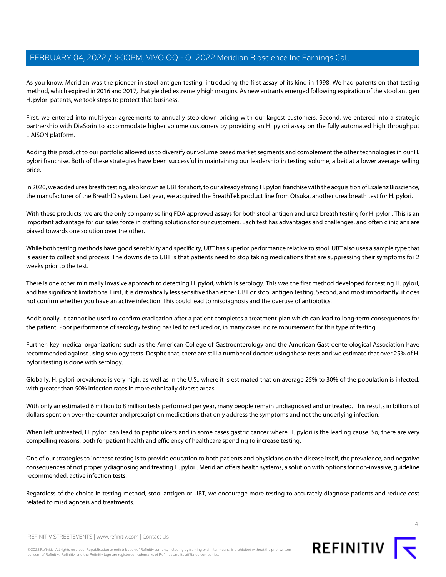As you know, Meridian was the pioneer in stool antigen testing, introducing the first assay of its kind in 1998. We had patents on that testing method, which expired in 2016 and 2017, that yielded extremely high margins. As new entrants emerged following expiration of the stool antigen H. pylori patents, we took steps to protect that business.

First, we entered into multi-year agreements to annually step down pricing with our largest customers. Second, we entered into a strategic partnership with DiaSorin to accommodate higher volume customers by providing an H. pylori assay on the fully automated high throughput LIAISON platform.

Adding this product to our portfolio allowed us to diversify our volume based market segments and complement the other technologies in our H. pylori franchise. Both of these strategies have been successful in maintaining our leadership in testing volume, albeit at a lower average selling price.

In 2020, we added urea breath testing, also known as UBT for short, to our already strong H. pylori franchise with the acquisition of Exalenz Bioscience, the manufacturer of the BreathID system. Last year, we acquired the BreathTek product line from Otsuka, another urea breath test for H. pylori.

With these products, we are the only company selling FDA approved assays for both stool antigen and urea breath testing for H. pylori. This is an important advantage for our sales force in crafting solutions for our customers. Each test has advantages and challenges, and often clinicians are biased towards one solution over the other.

While both testing methods have good sensitivity and specificity, UBT has superior performance relative to stool. UBT also uses a sample type that is easier to collect and process. The downside to UBT is that patients need to stop taking medications that are suppressing their symptoms for 2 weeks prior to the test.

There is one other minimally invasive approach to detecting H. pylori, which is serology. This was the first method developed for testing H. pylori, and has significant limitations. First, it is dramatically less sensitive than either UBT or stool antigen testing. Second, and most importantly, it does not confirm whether you have an active infection. This could lead to misdiagnosis and the overuse of antibiotics.

Additionally, it cannot be used to confirm eradication after a patient completes a treatment plan which can lead to long-term consequences for the patient. Poor performance of serology testing has led to reduced or, in many cases, no reimbursement for this type of testing.

Further, key medical organizations such as the American College of Gastroenterology and the American Gastroenterological Association have recommended against using serology tests. Despite that, there are still a number of doctors using these tests and we estimate that over 25% of H. pylori testing is done with serology.

Globally, H. pylori prevalence is very high, as well as in the U.S., where it is estimated that on average 25% to 30% of the population is infected, with greater than 50% infection rates in more ethnically diverse areas.

With only an estimated 6 million to 8 million tests performed per year, many people remain undiagnosed and untreated. This results in billions of dollars spent on over-the-counter and prescription medications that only address the symptoms and not the underlying infection.

When left untreated, H. pylori can lead to peptic ulcers and in some cases gastric cancer where H. pylori is the leading cause. So, there are very compelling reasons, both for patient health and efficiency of healthcare spending to increase testing.

One of our strategies to increase testing is to provide education to both patients and physicians on the disease itself, the prevalence, and negative consequences of not properly diagnosing and treating H. pylori. Meridian offers health systems, a solution with options for non-invasive, guideline recommended, active infection tests.

Regardless of the choice in testing method, stool antigen or UBT, we encourage more testing to accurately diagnose patients and reduce cost related to misdiagnosis and treatments.



REFINITIV STREETEVENTS | [www.refinitiv.com](https://www.refinitiv.com/) | [Contact Us](https://www.refinitiv.com/en/contact-us)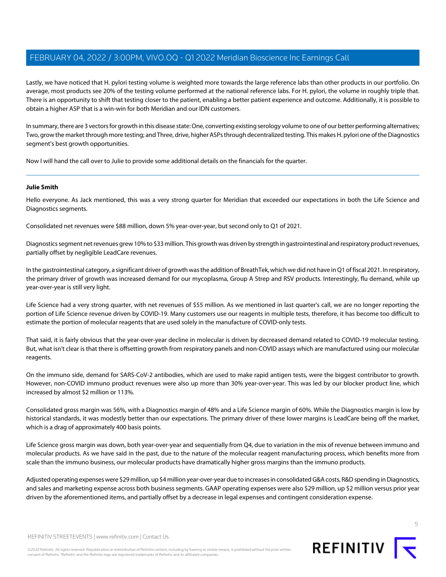Lastly, we have noticed that H. pylori testing volume is weighted more towards the large reference labs than other products in our portfolio. On average, most products see 20% of the testing volume performed at the national reference labs. For H. pylori, the volume in roughly triple that. There is an opportunity to shift that testing closer to the patient, enabling a better patient experience and outcome. Additionally, it is possible to obtain a higher ASP that is a win-win for both Meridian and our IDN customers.

In summary, there are 3 vectors for growth in this disease state: One, converting existing serology volume to one of our better performing alternatives; Two, grow the market through more testing; and Three, drive, higher ASPs through decentralized testing. This makes H. pylori one of the Diagnostics segment's best growth opportunities.

<span id="page-4-0"></span>Now I will hand the call over to Julie to provide some additional details on the financials for the quarter.

#### **Julie Smith**

Hello everyone. As Jack mentioned, this was a very strong quarter for Meridian that exceeded our expectations in both the Life Science and Diagnostics segments.

Consolidated net revenues were \$88 million, down 5% year-over-year, but second only to Q1 of 2021.

Diagnostics segment net revenues grew 10% to \$33 million. This growth was driven by strength in gastrointestinal and respiratory product revenues, partially offset by negligible LeadCare revenues.

In the gastrointestinal category, a significant driver of growth was the addition of BreathTek, which we did not have in Q1 of fiscal 2021. In respiratory, the primary driver of growth was increased demand for our mycoplasma, Group A Strep and RSV products. Interestingly, flu demand, while up year-over-year is still very light.

Life Science had a very strong quarter, with net revenues of \$55 million. As we mentioned in last quarter's call, we are no longer reporting the portion of Life Science revenue driven by COVID-19. Many customers use our reagents in multiple tests, therefore, it has become too difficult to estimate the portion of molecular reagents that are used solely in the manufacture of COVID-only tests.

That said, it is fairly obvious that the year-over-year decline in molecular is driven by decreased demand related to COVID-19 molecular testing. But, what isn't clear is that there is offsetting growth from respiratory panels and non-COVID assays which are manufactured using our molecular reagents.

On the immuno side, demand for SARS-CoV-2 antibodies, which are used to make rapid antigen tests, were the biggest contributor to growth. However, non-COVID immuno product revenues were also up more than 30% year-over-year. This was led by our blocker product line, which increased by almost \$2 million or 113%.

Consolidated gross margin was 56%, with a Diagnostics margin of 48% and a Life Science margin of 60%. While the Diagnostics margin is low by historical standards, it was modestly better than our expectations. The primary driver of these lower margins is LeadCare being off the market, which is a drag of approximately 400 basis points.

Life Science gross margin was down, both year-over-year and sequentially from Q4, due to variation in the mix of revenue between immuno and molecular products. As we have said in the past, due to the nature of the molecular reagent manufacturing process, which benefits more from scale than the immuno business, our molecular products have dramatically higher gross margins than the immuno products.

Adjusted operating expenses were \$29 million, up \$4 million year-over-year due to increases in consolidated G&A costs, R&D spending in Diagnostics, and sales and marketing expense across both business segments. GAAP operating expenses were also \$29 million, up \$2 million versus prior year driven by the aforementioned items, and partially offset by a decrease in legal expenses and contingent consideration expense.

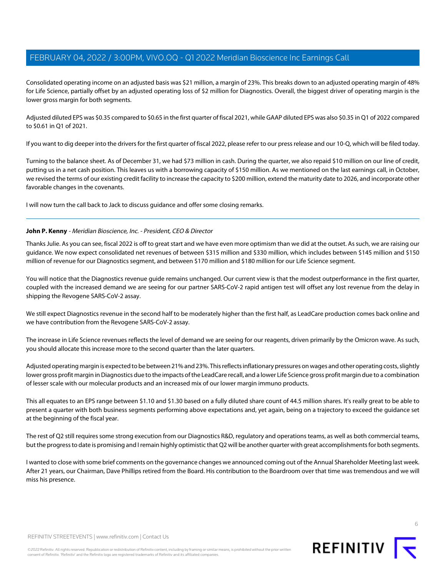Consolidated operating income on an adjusted basis was \$21 million, a margin of 23%. This breaks down to an adjusted operating margin of 48% for Life Science, partially offset by an adjusted operating loss of \$2 million for Diagnostics. Overall, the biggest driver of operating margin is the lower gross margin for both segments.

Adjusted diluted EPS was \$0.35 compared to \$0.65 in the first quarter of fiscal 2021, while GAAP diluted EPS was also \$0.35 in Q1 of 2022 compared to \$0.61 in Q1 of 2021.

If you want to dig deeper into the drivers for the first quarter of fiscal 2022, please refer to our press release and our 10-Q, which will be filed today.

Turning to the balance sheet. As of December 31, we had \$73 million in cash. During the quarter, we also repaid \$10 million on our line of credit, putting us in a net cash position. This leaves us with a borrowing capacity of \$150 million. As we mentioned on the last earnings call, in October, we revised the terms of our existing credit facility to increase the capacity to \$200 million, extend the maturity date to 2026, and incorporate other favorable changes in the covenants.

I will now turn the call back to Jack to discuss guidance and offer some closing remarks.

#### **John P. Kenny** - Meridian Bioscience, Inc. - President, CEO & Director

Thanks Julie. As you can see, fiscal 2022 is off to great start and we have even more optimism than we did at the outset. As such, we are raising our guidance. We now expect consolidated net revenues of between \$315 million and \$330 million, which includes between \$145 million and \$150 million of revenue for our Diagnostics segment, and between \$170 million and \$180 million for our Life Science segment.

You will notice that the Diagnostics revenue guide remains unchanged. Our current view is that the modest outperformance in the first quarter, coupled with the increased demand we are seeing for our partner SARS-CoV-2 rapid antigen test will offset any lost revenue from the delay in shipping the Revogene SARS-CoV-2 assay.

We still expect Diagnostics revenue in the second half to be moderately higher than the first half, as LeadCare production comes back online and we have contribution from the Revogene SARS-CoV-2 assay.

The increase in Life Science revenues reflects the level of demand we are seeing for our reagents, driven primarily by the Omicron wave. As such, you should allocate this increase more to the second quarter than the later quarters.

Adjusted operating margin is expected to be between 21% and 23%. This reflects inflationary pressures on wages and other operating costs, slightly lower gross profit margin in Diagnostics due to the impacts of the LeadCare recall, and a lower Life Science gross profit margin due to a combination of lesser scale with our molecular products and an increased mix of our lower margin immuno products.

This all equates to an EPS range between \$1.10 and \$1.30 based on a fully diluted share count of 44.5 million shares. It's really great to be able to present a quarter with both business segments performing above expectations and, yet again, being on a trajectory to exceed the guidance set at the beginning of the fiscal year.

The rest of Q2 still requires some strong execution from our Diagnostics R&D, regulatory and operations teams, as well as both commercial teams, but the progress to date is promising and I remain highly optimistic that Q2 will be another quarter with great accomplishments for both segments.

I wanted to close with some brief comments on the governance changes we announced coming out of the Annual Shareholder Meeting last week. After 21 years, our Chairman, Dave Phillips retired from the Board. His contribution to the Boardroom over that time was tremendous and we will miss his presence.





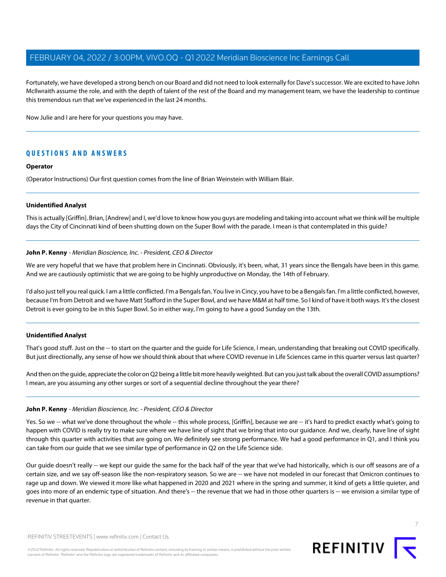Fortunately, we have developed a strong bench on our Board and did not need to look externally for Dave's successor. We are excited to have John McIlwraith assume the role, and with the depth of talent of the rest of the Board and my management team, we have the leadership to continue this tremendous run that we've experienced in the last 24 months.

Now Julie and I are here for your questions you may have.

## **QUESTIONS AND ANSWERS**

#### **Operator**

(Operator Instructions) Our first question comes from the line of Brian Weinstein with William Blair.

#### **Unidentified Analyst**

This is actually [Griffin]. Brian, [Andrew] and I, we'd love to know how you guys are modeling and taking into account what we think will be multiple days the City of Cincinnati kind of been shutting down on the Super Bowl with the parade. I mean is that contemplated in this guide?

#### **John P. Kenny** - Meridian Bioscience, Inc. - President, CEO & Director

We are very hopeful that we have that problem here in Cincinnati. Obviously, it's been, what, 31 years since the Bengals have been in this game. And we are cautiously optimistic that we are going to be highly unproductive on Monday, the 14th of February.

I'd also just tell you real quick. I am a little conflicted. I'm a Bengals fan. You live in Cincy, you have to be a Bengals fan. I'm a little conflicted, however, because I'm from Detroit and we have Matt Stafford in the Super Bowl, and we have M&M at half time. So I kind of have it both ways. It's the closest Detroit is ever going to be in this Super Bowl. So in either way, I'm going to have a good Sunday on the 13th.

#### **Unidentified Analyst**

That's good stuff. Just on the -- to start on the quarter and the quide for Life Science, I mean, understanding that breaking out COVID specifically. But just directionally, any sense of how we should think about that where COVID revenue in Life Sciences came in this quarter versus last quarter?

And then on the guide, appreciate the color on Q2 being a little bit more heavily weighted. But can you just talk about the overall COVID assumptions? I mean, are you assuming any other surges or sort of a sequential decline throughout the year there?

#### **John P. Kenny** - Meridian Bioscience, Inc. - President, CEO & Director

Yes. So we -- what we've done throughout the whole -- this whole process, [Griffin], because we are -- it's hard to predict exactly what's going to happen with COVID is really try to make sure where we have line of sight that we bring that into our guidance. And we, clearly, have line of sight through this quarter with activities that are going on. We definitely see strong performance. We had a good performance in Q1, and I think you can take from our guide that we see similar type of performance in Q2 on the Life Science side.

Our guide doesn't really -- we kept our guide the same for the back half of the year that we've had historically, which is our off seasons are of a certain size, and we say off-season like the non-respiratory season. So we are -- we have not modeled in our forecast that Omicron continues to rage up and down. We viewed it more like what happened in 2020 and 2021 where in the spring and summer, it kind of gets a little quieter, and goes into more of an endemic type of situation. And there's -- the revenue that we had in those other quarters is -- we envision a similar type of revenue in that quarter.

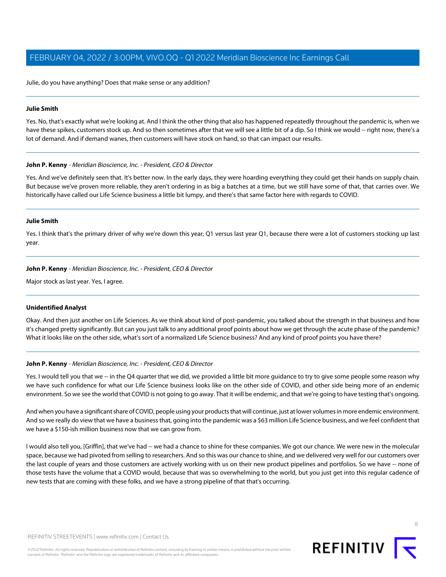Julie, do you have anything? Does that make sense or any addition?

#### **Julie Smith**

Yes. No, that's exactly what we're looking at. And I think the other thing that also has happened repeatedly throughout the pandemic is, when we have these spikes, customers stock up. And so then sometimes after that we will see a little bit of a dip. So I think we would -- right now, there's a lot of demand. And if demand wanes, then customers will have stock on hand, so that can impact our results.

#### **John P. Kenny** - Meridian Bioscience, Inc. - President, CEO & Director

Yes. And we've definitely seen that. It's better now. In the early days, they were hoarding everything they could get their hands on supply chain. But because we've proven more reliable, they aren't ordering in as big a batches at a time, but we still have some of that, that carries over. We historically have called our Life Science business a little bit lumpy, and there's that same factor here with regards to COVID.

#### **Julie Smith**

Yes. I think that's the primary driver of why we're down this year, Q1 versus last year Q1, because there were a lot of customers stocking up last year.

#### **John P. Kenny** - Meridian Bioscience, Inc. - President, CEO & Director

Major stock as last year. Yes, I agree.

#### **Unidentified Analyst**

Okay. And then just another on Life Sciences. As we think about kind of post-pandemic, you talked about the strength in that business and how it's changed pretty significantly. But can you just talk to any additional proof points about how we get through the acute phase of the pandemic? What it looks like on the other side, what's sort of a normalized Life Science business? And any kind of proof points you have there?

#### **John P. Kenny** - Meridian Bioscience, Inc. - President, CEO & Director

Yes. I would tell you that we -- in the Q4 quarter that we did, we provided a little bit more guidance to try to give some people some reason why we have such confidence for what our Life Science business looks like on the other side of COVID, and other side being more of an endemic environment. So we see the world that COVID is not going to go away. That it will be endemic, and that we're going to have testing that's ongoing.

And when you have a significant share of COVID, people using your products that will continue, just at lower volumes in more endemic environment. And so we really do view that we have a business that, going into the pandemic was a \$63 million Life Science business, and we feel confident that we have a \$150-ish million business now that we can grow from.

I would also tell you, [Griffin], that we've had -- we had a chance to shine for these companies. We got our chance. We were new in the molecular space, because we had pivoted from selling to researchers. And so this was our chance to shine, and we delivered very well for our customers over the last couple of years and those customers are actively working with us on their new product pipelines and portfolios. So we have -- none of those tests have the volume that a COVID would, because that was so overwhelming to the world, but you just get into this regular cadence of new tests that are coming with these folks, and we have a strong pipeline of that that's occurring.

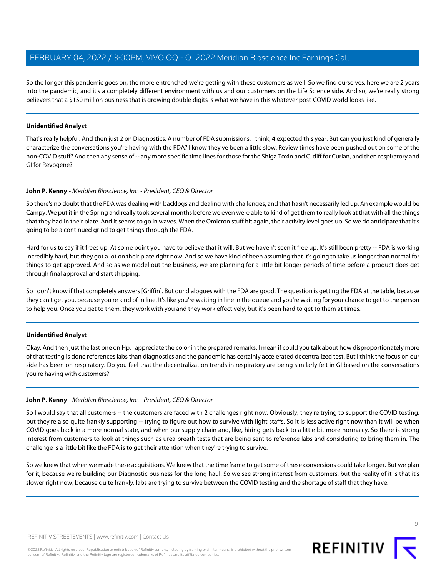So the longer this pandemic goes on, the more entrenched we're getting with these customers as well. So we find ourselves, here we are 2 years into the pandemic, and it's a completely different environment with us and our customers on the Life Science side. And so, we're really strong believers that a \$150 million business that is growing double digits is what we have in this whatever post-COVID world looks like.

## **Unidentified Analyst**

That's really helpful. And then just 2 on Diagnostics. A number of FDA submissions, I think, 4 expected this year. But can you just kind of generally characterize the conversations you're having with the FDA? I know they've been a little slow. Review times have been pushed out on some of the non-COVID stuff? And then any sense of -- any more specific time lines for those for the Shiga Toxin and C. diff for Curian, and then respiratory and GI for Revogene?

#### **John P. Kenny** - Meridian Bioscience, Inc. - President, CEO & Director

So there's no doubt that the FDA was dealing with backlogs and dealing with challenges, and that hasn't necessarily led up. An example would be Campy. We put it in the Spring and really took several months before we even were able to kind of get them to really look at that with all the things that they had in their plate. And it seems to go in waves. When the Omicron stuff hit again, their activity level goes up. So we do anticipate that it's going to be a continued grind to get things through the FDA.

Hard for us to say if it frees up. At some point you have to believe that it will. But we haven't seen it free up. It's still been pretty -- FDA is working incredibly hard, but they got a lot on their plate right now. And so we have kind of been assuming that it's going to take us longer than normal for things to get approved. And so as we model out the business, we are planning for a little bit longer periods of time before a product does get through final approval and start shipping.

So I don't know if that completely answers [Griffin]. But our dialogues with the FDA are good. The question is getting the FDA at the table, because they can't get you, because you're kind of in line. It's like you're waiting in line in the queue and you're waiting for your chance to get to the person to help you. Once you get to them, they work with you and they work effectively, but it's been hard to get to them at times.

#### **Unidentified Analyst**

Okay. And then just the last one on Hp. I appreciate the color in the prepared remarks. I mean if could you talk about how disproportionately more of that testing is done references labs than diagnostics and the pandemic has certainly accelerated decentralized test. But I think the focus on our side has been on respiratory. Do you feel that the decentralization trends in respiratory are being similarly felt in GI based on the conversations you're having with customers?

#### **John P. Kenny** - Meridian Bioscience, Inc. - President, CEO & Director

So I would say that all customers -- the customers are faced with 2 challenges right now. Obviously, they're trying to support the COVID testing, but they're also quite frankly supporting -- trying to figure out how to survive with light staffs. So it is less active right now than it will be when COVID goes back in a more normal state, and when our supply chain and, like, hiring gets back to a little bit more normalcy. So there is strong interest from customers to look at things such as urea breath tests that are being sent to reference labs and considering to bring them in. The challenge is a little bit like the FDA is to get their attention when they're trying to survive.

So we knew that when we made these acquisitions. We knew that the time frame to get some of these conversions could take longer. But we plan for it, because we're building our Diagnostic business for the long haul. So we see strong interest from customers, but the reality of it is that it's slower right now, because quite frankly, labs are trying to survive between the COVID testing and the shortage of staff that they have.

©2022 Refinitiv. All rights reserved. Republication or redistribution of Refinitiv content, including by framing or similar means, is prohibited without the prior written consent of Refinitiv. 'Refinitiv' and the Refinitiv logo are registered trademarks of Refinitiv and its affiliated companies.

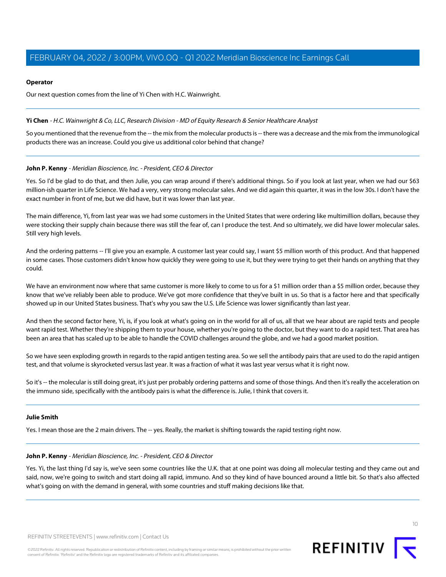#### **Operator**

Our next question comes from the line of Yi Chen with H.C. Wainwright.

#### <span id="page-9-0"></span>**Yi Chen** - H.C. Wainwright & Co, LLC, Research Division - MD of Equity Research & Senior Healthcare Analyst

So you mentioned that the revenue from the -- the mix from the molecular products is -- there was a decrease and the mix from the immunological products there was an increase. Could you give us additional color behind that change?

#### **John P. Kenny** - Meridian Bioscience, Inc. - President, CEO & Director

Yes. So I'd be glad to do that, and then Julie, you can wrap around if there's additional things. So if you look at last year, when we had our \$63 million-ish quarter in Life Science. We had a very, very strong molecular sales. And we did again this quarter, it was in the low 30s. I don't have the exact number in front of me, but we did have, but it was lower than last year.

The main difference, Yi, from last year was we had some customers in the United States that were ordering like multimillion dollars, because they were stocking their supply chain because there was still the fear of, can I produce the test. And so ultimately, we did have lower molecular sales. Still very high levels.

And the ordering patterns -- I'll give you an example. A customer last year could say, I want \$5 million worth of this product. And that happened in some cases. Those customers didn't know how quickly they were going to use it, but they were trying to get their hands on anything that they could.

We have an environment now where that same customer is more likely to come to us for a \$1 million order than a \$5 million order, because they know that we've reliably been able to produce. We've got more confidence that they've built in us. So that is a factor here and that specifically showed up in our United States business. That's why you saw the U.S. Life Science was lower significantly than last year.

And then the second factor here, Yi, is, if you look at what's going on in the world for all of us, all that we hear about are rapid tests and people want rapid test. Whether they're shipping them to your house, whether you're going to the doctor, but they want to do a rapid test. That area has been an area that has scaled up to be able to handle the COVID challenges around the globe, and we had a good market position.

So we have seen exploding growth in regards to the rapid antigen testing area. So we sell the antibody pairs that are used to do the rapid antigen test, and that volume is skyrocketed versus last year. It was a fraction of what it was last year versus what it is right now.

So it's -- the molecular is still doing great, it's just per probably ordering patterns and some of those things. And then it's really the acceleration on the immuno side, specifically with the antibody pairs is what the difference is. Julie, I think that covers it.

#### **Julie Smith**

Yes. I mean those are the 2 main drivers. The -- yes. Really, the market is shifting towards the rapid testing right now.

#### **John P. Kenny** - Meridian Bioscience, Inc. - President, CEO & Director

Yes. Yi, the last thing I'd say is, we've seen some countries like the U.K. that at one point was doing all molecular testing and they came out and said, now, we're going to switch and start doing all rapid, immuno. And so they kind of have bounced around a little bit. So that's also affected what's going on with the demand in general, with some countries and stuff making decisions like that.

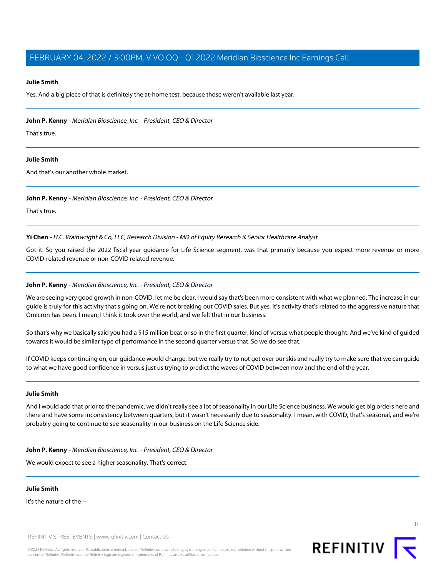#### **Julie Smith**

Yes. And a big piece of that is definitely the at-home test, because those weren't available last year.

**John P. Kenny** - Meridian Bioscience, Inc. - President, CEO & Director

That's true.

#### **Julie Smith**

And that's our another whole market.

#### **John P. Kenny** - Meridian Bioscience, Inc. - President, CEO & Director

That's true.

**Yi Chen** - H.C. Wainwright & Co, LLC, Research Division - MD of Equity Research & Senior Healthcare Analyst

Got it. So you raised the 2022 fiscal year guidance for Life Science segment, was that primarily because you expect more revenue or more COVID-related revenue or non-COVID related revenue.

#### **John P. Kenny** - Meridian Bioscience, Inc. - President, CEO & Director

We are seeing very good growth in non-COVID, let me be clear. I would say that's been more consistent with what we planned. The increase in our guide is truly for this activity that's going on. We're not breaking out COVID sales. But yes, it's activity that's related to the aggressive nature that Omicron has been. I mean, I think it took over the world, and we felt that in our business.

So that's why we basically said you had a \$15 million beat or so in the first quarter, kind of versus what people thought. And we've kind of guided towards it would be similar type of performance in the second quarter versus that. So we do see that.

If COVID keeps continuing on, our guidance would change, but we really try to not get over our skis and really try to make sure that we can guide to what we have good confidence in versus just us trying to predict the waves of COVID between now and the end of the year.

#### **Julie Smith**

And I would add that prior to the pandemic, we didn't really see a lot of seasonality in our Life Science business. We would get big orders here and there and have some inconsistency between quarters, but it wasn't necessarily due to seasonality. I mean, with COVID, that's seasonal, and we're probably going to continue to see seasonality in our business on the Life Science side.

**John P. Kenny** - Meridian Bioscience, Inc. - President, CEO & Director

We would expect to see a higher seasonality. That's correct.

## **Julie Smith**

It's the nature of the --

REFINITIV STREETEVENTS | [www.refinitiv.com](https://www.refinitiv.com/) | [Contact Us](https://www.refinitiv.com/en/contact-us)

©2022 Refinitiv. All rights reserved. Republication or redistribution of Refinitiv content, including by framing or similar means, is prohibited without the prior written consent of Refinitiv. 'Refinitiv' and the Refinitiv logo are registered trademarks of Refinitiv and its affiliated companies.



11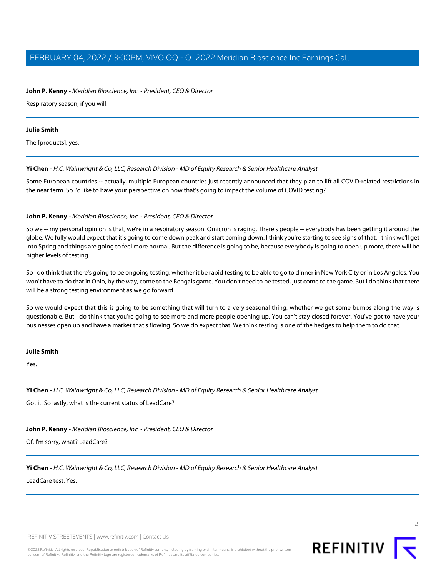## **John P. Kenny** - Meridian Bioscience, Inc. - President, CEO & Director

Respiratory season, if you will.

#### **Julie Smith**

The [products], yes.

#### **Yi Chen** - H.C. Wainwright & Co, LLC, Research Division - MD of Equity Research & Senior Healthcare Analyst

Some European countries -- actually, multiple European countries just recently announced that they plan to lift all COVID-related restrictions in the near term. So I'd like to have your perspective on how that's going to impact the volume of COVID testing?

#### **John P. Kenny** - Meridian Bioscience, Inc. - President, CEO & Director

So we -- my personal opinion is that, we're in a respiratory season. Omicron is raging. There's people -- everybody has been getting it around the globe. We fully would expect that it's going to come down peak and start coming down. I think you're starting to see signs of that. I think we'll get into Spring and things are going to feel more normal. But the difference is going to be, because everybody is going to open up more, there will be higher levels of testing.

So I do think that there's going to be ongoing testing, whether it be rapid testing to be able to go to dinner in New York City or in Los Angeles. You won't have to do that in Ohio, by the way, come to the Bengals game. You don't need to be tested, just come to the game. But I do think that there will be a strong testing environment as we go forward.

So we would expect that this is going to be something that will turn to a very seasonal thing, whether we get some bumps along the way is questionable. But I do think that you're going to see more and more people opening up. You can't stay closed forever. You've got to have your businesses open up and have a market that's flowing. So we do expect that. We think testing is one of the hedges to help them to do that.

#### **Julie Smith**

Yes.

#### **Yi Chen** - H.C. Wainwright & Co, LLC, Research Division - MD of Equity Research & Senior Healthcare Analyst

Got it. So lastly, what is the current status of LeadCare?

**John P. Kenny** - Meridian Bioscience, Inc. - President, CEO & Director

Of, I'm sorry, what? LeadCare?

#### **Yi Chen** - H.C. Wainwright & Co, LLC, Research Division - MD of Equity Research & Senior Healthcare Analyst

LeadCare test. Yes.

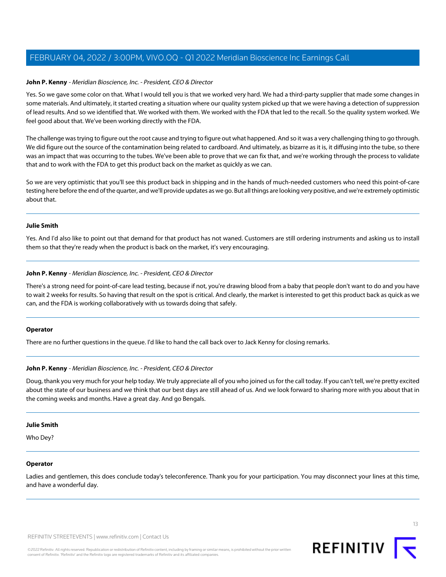#### **John P. Kenny** - Meridian Bioscience, Inc. - President, CEO & Director

Yes. So we gave some color on that. What I would tell you is that we worked very hard. We had a third-party supplier that made some changes in some materials. And ultimately, it started creating a situation where our quality system picked up that we were having a detection of suppression of lead results. And so we identified that. We worked with them. We worked with the FDA that led to the recall. So the quality system worked. We feel good about that. We've been working directly with the FDA.

The challenge was trying to figure out the root cause and trying to figure out what happened. And so it was a very challenging thing to go through. We did figure out the source of the contamination being related to cardboard. And ultimately, as bizarre as it is, it diffusing into the tube, so there was an impact that was occurring to the tubes. We've been able to prove that we can fix that, and we're working through the process to validate that and to work with the FDA to get this product back on the market as quickly as we can.

So we are very optimistic that you'll see this product back in shipping and in the hands of much-needed customers who need this point-of-care testing here before the end of the quarter, and we'll provide updates as we go. But all things are looking very positive, and we're extremely optimistic about that.

#### **Julie Smith**

Yes. And I'd also like to point out that demand for that product has not waned. Customers are still ordering instruments and asking us to install them so that they're ready when the product is back on the market, it's very encouraging.

#### **John P. Kenny** - Meridian Bioscience, Inc. - President, CEO & Director

There's a strong need for point-of-care lead testing, because if not, you're drawing blood from a baby that people don't want to do and you have to wait 2 weeks for results. So having that result on the spot is critical. And clearly, the market is interested to get this product back as quick as we can, and the FDA is working collaboratively with us towards doing that safely.

#### **Operator**

There are no further questions in the queue. I'd like to hand the call back over to Jack Kenny for closing remarks.

#### **John P. Kenny** - Meridian Bioscience, Inc. - President, CEO & Director

Doug, thank you very much for your help today. We truly appreciate all of you who joined us for the call today. If you can't tell, we're pretty excited about the state of our business and we think that our best days are still ahead of us. And we look forward to sharing more with you about that in the coming weeks and months. Have a great day. And go Bengals.

#### **Julie Smith**

Who Dey?

#### **Operator**

Ladies and gentlemen, this does conclude today's teleconference. Thank you for your participation. You may disconnect your lines at this time, and have a wonderful day.